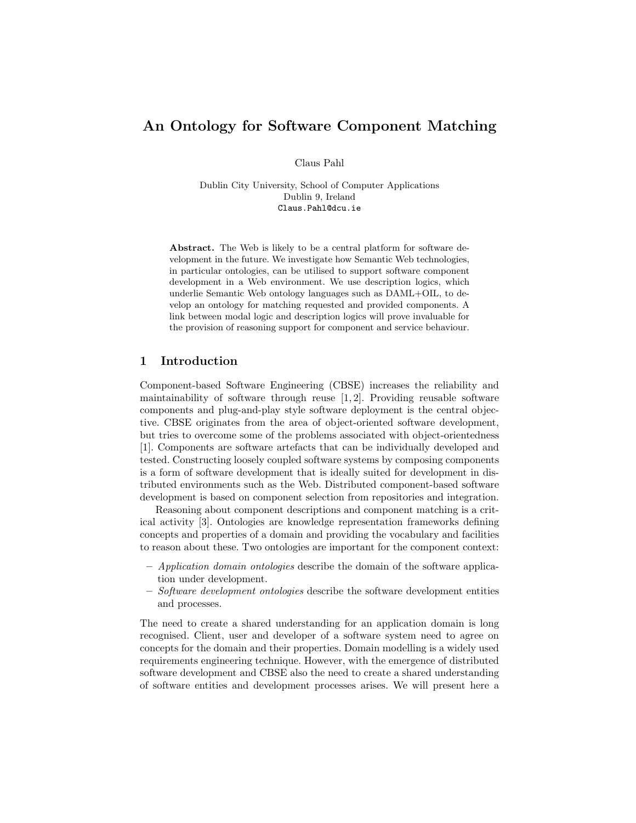# An Ontology for Software Component Matching

Claus Pahl

Dublin City University, School of Computer Applications Dublin 9, Ireland Claus.Pahl@dcu.ie

Abstract. The Web is likely to be a central platform for software development in the future. We investigate how Semantic Web technologies, in particular ontologies, can be utilised to support software component development in a Web environment. We use description logics, which underlie Semantic Web ontology languages such as DAML+OIL, to develop an ontology for matching requested and provided components. A link between modal logic and description logics will prove invaluable for the provision of reasoning support for component and service behaviour.

## 1 Introduction

Component-based Software Engineering (CBSE) increases the reliability and maintainability of software through reuse  $[1, 2]$ . Providing reusable software components and plug-and-play style software deployment is the central objective. CBSE originates from the area of object-oriented software development, but tries to overcome some of the problems associated with object-orientedness [1]. Components are software artefacts that can be individually developed and tested. Constructing loosely coupled software systems by composing components is a form of software development that is ideally suited for development in distributed environments such as the Web. Distributed component-based software development is based on component selection from repositories and integration.

Reasoning about component descriptions and component matching is a critical activity [3]. Ontologies are knowledge representation frameworks defining concepts and properties of a domain and providing the vocabulary and facilities to reason about these. Two ontologies are important for the component context:

- Application domain ontologies describe the domain of the software application under development.
- Software development ontologies describe the software development entities and processes.

The need to create a shared understanding for an application domain is long recognised. Client, user and developer of a software system need to agree on concepts for the domain and their properties. Domain modelling is a widely used requirements engineering technique. However, with the emergence of distributed software development and CBSE also the need to create a shared understanding of software entities and development processes arises. We will present here a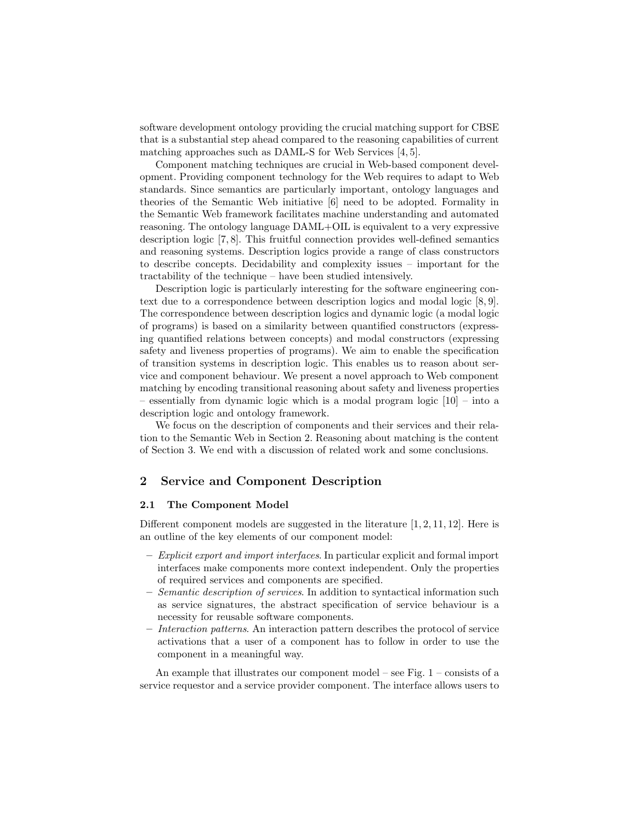software development ontology providing the crucial matching support for CBSE that is a substantial step ahead compared to the reasoning capabilities of current matching approaches such as DAML-S for Web Services [4, 5].

Component matching techniques are crucial in Web-based component development. Providing component technology for the Web requires to adapt to Web standards. Since semantics are particularly important, ontology languages and theories of the Semantic Web initiative [6] need to be adopted. Formality in the Semantic Web framework facilitates machine understanding and automated reasoning. The ontology language DAML+OIL is equivalent to a very expressive description logic [7, 8]. This fruitful connection provides well-defined semantics and reasoning systems. Description logics provide a range of class constructors to describe concepts. Decidability and complexity issues – important for the tractability of the technique – have been studied intensively.

Description logic is particularly interesting for the software engineering context due to a correspondence between description logics and modal logic [8, 9]. The correspondence between description logics and dynamic logic (a modal logic of programs) is based on a similarity between quantified constructors (expressing quantified relations between concepts) and modal constructors (expressing safety and liveness properties of programs). We aim to enable the specification of transition systems in description logic. This enables us to reason about service and component behaviour. We present a novel approach to Web component matching by encoding transitional reasoning about safety and liveness properties – essentially from dynamic logic which is a modal program logic [10] – into a description logic and ontology framework.

We focus on the description of components and their services and their relation to the Semantic Web in Section 2. Reasoning about matching is the content of Section 3. We end with a discussion of related work and some conclusions.

## 2 Service and Component Description

#### 2.1 The Component Model

Different component models are suggested in the literature  $[1, 2, 11, 12]$ . Here is an outline of the key elements of our component model:

- $-$  *Explicit export and import interfaces.* In particular explicit and formal import interfaces make components more context independent. Only the properties of required services and components are specified.
- Semantic description of services. In addition to syntactical information such as service signatures, the abstract specification of service behaviour is a necessity for reusable software components.
- Interaction patterns. An interaction pattern describes the protocol of service activations that a user of a component has to follow in order to use the component in a meaningful way.

An example that illustrates our component model – see Fig. 1 – consists of a service requestor and a service provider component. The interface allows users to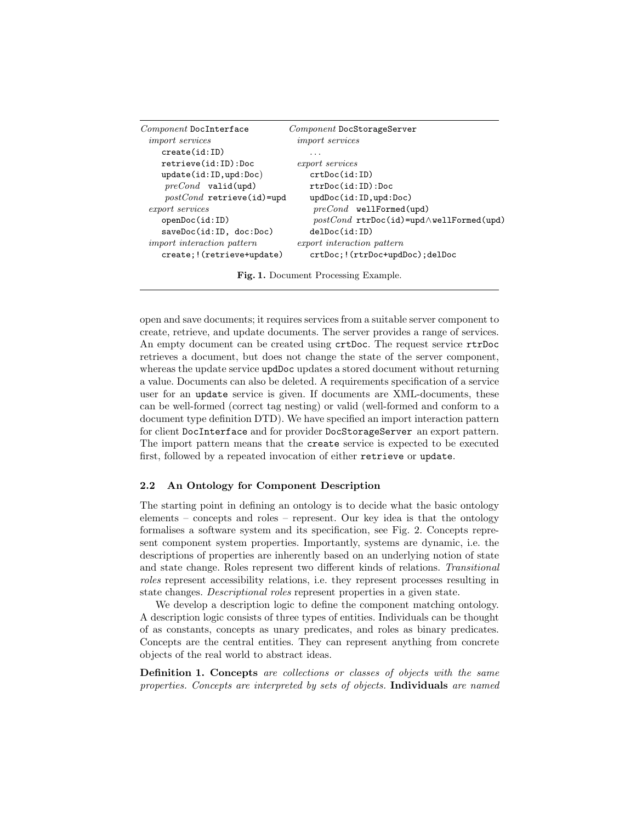```
Component DocInterface
 import services
    create(id:ID)
    retrieve(id:ID):Doc
    update(id:ID,upd:Doc)
     preCond valid(upd)
     postCond retrieve(id)=upd
 export services
    openDoc(id:ID)
    saveDoc(id:ID, doc:Doc)
 import interaction pattern
    create;!(retrieve+update)
                                Component DocStorageServer
                                  import services
                                     . . .
                                  export services
                                     crtDoc(id:ID)
                                     rtrDoc(id:ID):Doc
                                     updDoc(id:ID,upd:Doc)
                                      preCond wellFormed(upd)
                                      postCond rtrDoc(id)=upd\wedgewellFormed(upd)
                                     delDoc(id:ID)
                                  export interaction pattern
                                     crtDoc;!(rtrDoc+updDoc);delDoc
```
Fig. 1. Document Processing Example.

open and save documents; it requires services from a suitable server component to create, retrieve, and update documents. The server provides a range of services. An empty document can be created using crtDoc. The request service rtrDoc retrieves a document, but does not change the state of the server component, whereas the update service updDoc updates a stored document without returning a value. Documents can also be deleted. A requirements specification of a service user for an update service is given. If documents are XML-documents, these can be well-formed (correct tag nesting) or valid (well-formed and conform to a document type definition DTD). We have specified an import interaction pattern for client DocInterface and for provider DocStorageServer an export pattern. The import pattern means that the create service is expected to be executed first, followed by a repeated invocation of either retrieve or update.

#### 2.2 An Ontology for Component Description

The starting point in defining an ontology is to decide what the basic ontology elements – concepts and roles – represent. Our key idea is that the ontology formalises a software system and its specification, see Fig. 2. Concepts represent component system properties. Importantly, systems are dynamic, i.e. the descriptions of properties are inherently based on an underlying notion of state and state change. Roles represent two different kinds of relations. Transitional roles represent accessibility relations, i.e. they represent processes resulting in state changes. Descriptional roles represent properties in a given state.

We develop a description logic to define the component matching ontology. A description logic consists of three types of entities. Individuals can be thought of as constants, concepts as unary predicates, and roles as binary predicates. Concepts are the central entities. They can represent anything from concrete objects of the real world to abstract ideas.

Definition 1. Concepts are collections or classes of objects with the same properties. Concepts are interpreted by sets of objects. Individuals are named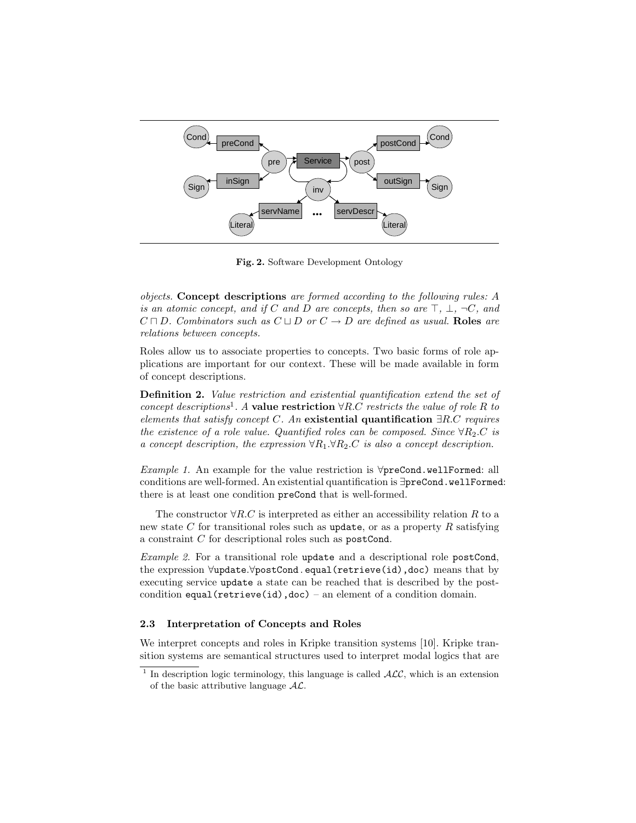

Fig. 2. Software Development Ontology

objects. Concept descriptions are formed according to the following rules: A is an atomic concept, and if C and D are concepts, then so are  $\top$ ,  $\bot$ ,  $\neg C$ , and  $C \sqcap D$ . Combinators such as  $C \sqcup D$  or  $C \rightarrow D$  are defined as usual. Roles are relations between concepts.

Roles allow us to associate properties to concepts. Two basic forms of role applications are important for our context. These will be made available in form of concept descriptions.

Definition 2. Value restriction and existential quantification extend the set of concept descriptions<sup>1</sup>. A value restriction  $\forall R.C$  restricts the value of role R to elements that satisfy concept C. An existential quantification  $\exists R.C$  requires the existence of a role value. Quantified roles can be composed. Since  $\forall R_2.C$  is a concept description, the expression  $\forall R_1.\forall R_2.C$  is also a concept description.

Example 1. An example for the value restriction is ∀preCond.wellFormed: all conditions are well-formed. An existential quantification is ∃preCond.wellFormed: there is at least one condition preCond that is well-formed.

The constructor  $\forall R.C$  is interpreted as either an accessibility relation R to a new state C for transitional roles such as update, or as a property  $R$  satisfying a constraint C for descriptional roles such as postCond.

Example 2. For a transitional role update and a descriptional role postCond, the expression ∀update.∀postCond . equal(retrieve(id),doc) means that by executing service update a state can be reached that is described by the postcondition equal (retrieve(id),doc) – an element of a condition domain.

## 2.3 Interpretation of Concepts and Roles

We interpret concepts and roles in Kripke transition systems [10]. Kripke transition systems are semantical structures used to interpret modal logics that are

<sup>&</sup>lt;sup>1</sup> In description logic terminology, this language is called  $\mathcal{ALC}$ , which is an extension of the basic attributive language  $AL$ .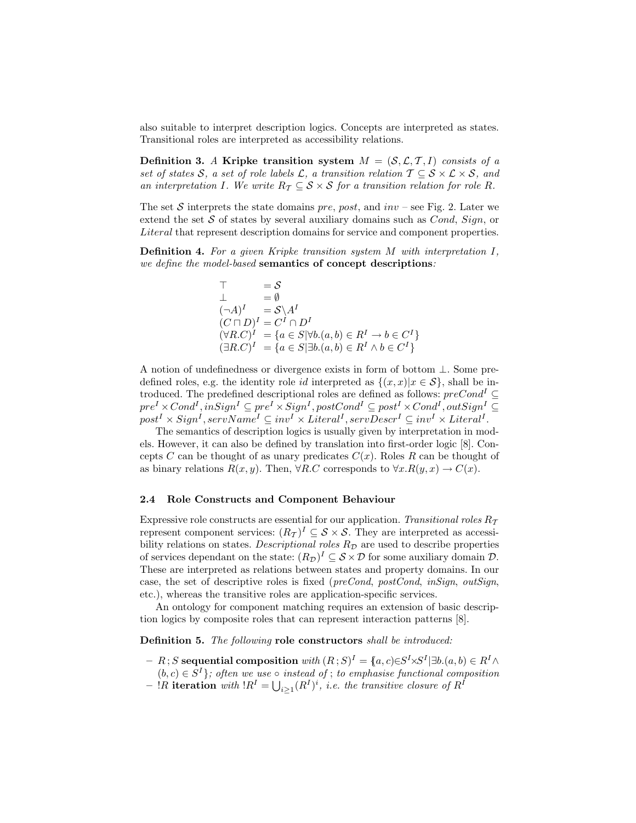also suitable to interpret description logics. Concepts are interpreted as states. Transitional roles are interpreted as accessibility relations.

**Definition 3.** A Kripke transition system  $M = (S, \mathcal{L}, \mathcal{T}, I)$  consists of a set of states S, a set of role labels L, a transition relation  $\mathcal{T} \subseteq \mathcal{S} \times \mathcal{L} \times \mathcal{S}$ , and an interpretation I. We write  $R_{\mathcal{T}} \subseteq \mathcal{S} \times \mathcal{S}$  for a transition relation for role R.

The set S interprets the state domains pre, post, and inv – see Fig. 2. Later we extend the set S of states by several auxiliary domains such as  $Cond, Sign$ , or Literal that represent description domains for service and component properties.

Definition 4. For a given Kripke transition system M with interpretation I, we define the model-based semantics of concept descriptions:

$$
\begin{array}{ll}\n\top & = \mathcal{S} \\
\bot & = \emptyset \\
(\neg A)^I & = \mathcal{S} \setminus A^I \\
(C \sqcap D)^I = C^I \cap D^I \\
(\forall R.C)^I & = \{a \in S | \forall b.(a, b) \in R^I \to b \in C^I\} \\
(\exists R.C)^I & = \{a \in S | \exists b.(a, b) \in R^I \land b \in C^I\}\n\end{array}
$$

A notion of undefinedness or divergence exists in form of bottom ⊥. Some predefined roles, e.g. the identity role *id* interpreted as  $\{(x, x)|x \in S\}$ , shall be introduced. The predefined descriptional roles are defined as follows:  $preCond<sup>I</sup> \subseteq$  $\textit{pre}^I \times Cond^I, \textit{inSign}^I \subseteq \textit{pre}^I \times \textit{Sign}^I, \textit{postCond}^I \subseteq \textit{post}^I \times Cond^I, \textit{outSign}^I \subseteq$  $post^I \times Sign^I, servName^I \subseteq inv^I \times Literal^I, servDescr^I \subseteq inv^I \times Literal^I.$ 

The semantics of description logics is usually given by interpretation in models. However, it can also be defined by translation into first-order logic [8]. Concepts C can be thought of as unary predicates  $C(x)$ . Roles R can be thought of as binary relations  $R(x, y)$ . Then,  $\forall R.C$  corresponds to  $\forall x. R(y, x) \rightarrow C(x)$ .

#### 2.4 Role Constructs and Component Behaviour

Expressive role constructs are essential for our application. Transitional roles  $R_{\mathcal{T}}$ represent component services:  $(R_{\mathcal{T}})^{I} \subseteq \mathcal{S} \times \mathcal{S}$ . They are interpreted as accessibility relations on states. Descriptional roles  $R_{\mathcal{D}}$  are used to describe properties of services dependant on the state:  $(R_{\mathcal{D}})^{I} \subseteq \mathcal{S} \times \mathcal{D}$  for some auxiliary domain  $\mathcal{D}$ . These are interpreted as relations between states and property domains. In our case, the set of descriptive roles is fixed (preCond, postCond, inSign, outSign, etc.), whereas the transitive roles are application-specific services.

An ontology for component matching requires an extension of basic description logics by composite roles that can represent interaction patterns [8].

Definition 5. The following role constructors shall be introduced:

- $-R$ ; S sequential composition with  $(R;S)^{I} = \{a,c\} \in S^{I} \times S^{I} | \exists b.(a,b) \in R^{I} \wedge R^{I}$
- $(b, c) \in S<sup>I</sup>$ ; often we use  $\circ$  instead of ; to emphasise functional composition
- $-$  !R iteration with  $!R^I = \bigcup_{i \geq 1} (R^I)^i$ , i.e. the transitive closure of  $R^I$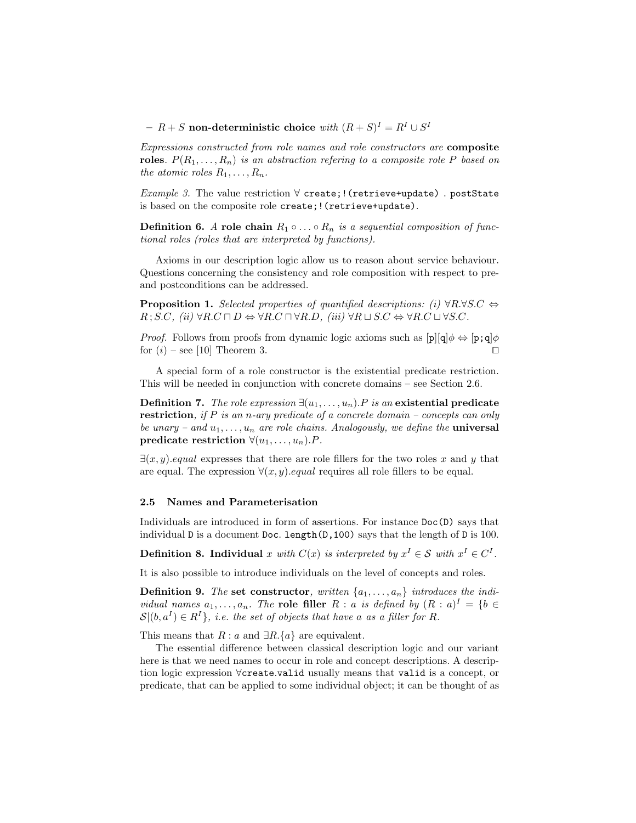$-R + S$  non-deterministic choice with  $(R + S)^{I} = R^{I} \cup S^{I}$ 

Expressions constructed from role names and role constructors are composite roles.  $P(R_1, \ldots, R_n)$  is an abstraction refering to a composite role P based on the atomic roles  $R_1, \ldots, R_n$ .

Example 3. The value restriction  $\forall$  create; ! (retrieve+update) . postState is based on the composite role create;!(retrieve+update).

**Definition 6.** A role chain  $R_1 \circ \ldots \circ R_n$  is a sequential composition of functional roles (roles that are interpreted by functions).

Axioms in our description logic allow us to reason about service behaviour. Questions concerning the consistency and role composition with respect to preand postconditions can be addressed.

**Proposition 1.** Selected properties of quantified descriptions: (i)  $\forall R.\forall S.C \Leftrightarrow$  $R$ ; S.C, (ii)  $\forall R.C \sqcap D \Leftrightarrow \forall R.C \sqcap \forall R.D$ , (iii)  $\forall R \sqcup S.C \Leftrightarrow \forall R.C \sqcup \forall S.C$ .

*Proof.* Follows from proofs from dynamic logic axioms such as  $[p][q]\phi \Leftrightarrow [p;q]\phi$ for  $(i)$  – see [10] Theorem 3.

A special form of a role constructor is the existential predicate restriction. This will be needed in conjunction with concrete domains – see Section 2.6.

**Definition 7.** The role expression  $\exists (u_1, \ldots, u_n)$ . P is an existential predicate restriction, if  $P$  is an n-ary predicate of a concrete domain – concepts can only be unary – and  $u_1, \ldots, u_n$  are role chains. Analogously, we define the **universal** predicate restriction  $\forall (u_1, \ldots, u_n)$ . P.

 $\exists (x, y)$  equal expresses that there are role fillers for the two roles x and y that are equal. The expression  $\forall (x, y)$  equal requires all role fillers to be equal.

#### 2.5 Names and Parameterisation

Individuals are introduced in form of assertions. For instance Doc(D) says that individual D is a document Doc. length $(D,100)$  says that the length of D is 100.

**Definition 8. Individual** x with  $C(x)$  is interpreted by  $x^I \in S$  with  $x^I \in C^I$ .

It is also possible to introduce individuals on the level of concepts and roles.

**Definition 9.** The set constructor, written  $\{a_1, \ldots, a_n\}$  introduces the individual names  $a_1, \ldots, a_n$ . The role filler  $R : a$  is defined by  $(R : a)^I = \{b \in$  $\mathcal{S} | (b, a^I) \in R^I \},$  i.e. the set of objects that have a as a filler for R.

This means that  $R : a$  and  $\exists R.\{a\}$  are equivalent.

The essential difference between classical description logic and our variant here is that we need names to occur in role and concept descriptions. A description logic expression ∀create.valid usually means that valid is a concept, or predicate, that can be applied to some individual object; it can be thought of as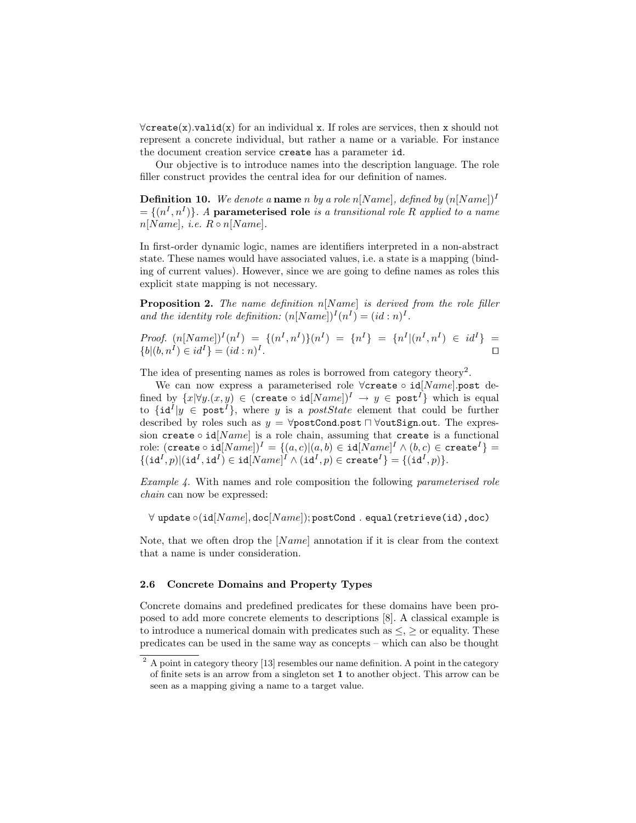$\forall$ create(x).valid(x) for an individual x. If roles are services, then x should not represent a concrete individual, but rather a name or a variable. For instance the document creation service create has a parameter id.

Our objective is to introduce names into the description language. The role filler construct provides the central idea for our definition of names.

**Definition 10.** We denote a name n by a role n[Name], defined by  $(n[Name])^I$  $=\{(n^I, n^I)\}\.$  A parameterised role is a transitional role R applied to a name  $n[Name], i.e. R \circ n[Name].$ 

In first-order dynamic logic, names are identifiers interpreted in a non-abstract state. These names would have associated values, i.e. a state is a mapping (binding of current values). However, since we are going to define names as roles this explicit state mapping is not necessary.

**Proposition 2.** The name definition  $n[Name]$  is derived from the role filler and the identity role definition:  $(n[Name])^I(n^I) = (id:n)^I$ .

Proof. 
$$
(n[Name])^I(n^I) = \{(n^I, n^I)\}(n^I) = \{n^I\} = \{n^I | (n^I, n^I) \in id^I\} = \{b | (b, n^I) \in id^I\} = (id:n)^I.
$$

The idea of presenting names as roles is borrowed from category theory<sup>2</sup>.

We can now express a parameterised role  $\forall$ create  $\circ$  id[ $Name$ ].post defined by  $\{x|\forall y.(x, y) \in (\text{create} \circ \text{id}[Name])^I \to y \in \text{post}^I\}$  which is equal to  $\{\mathrm{id}^I | y \in \mathrm{post}^I\}$ , where y is a postState element that could be further described by roles such as  $y = \forall$ postCond.post  $\Box$   $\forall$ outSign.out. The expression create  $\circ$  id[Name] is a role chain, assuming that create is a functional  $\text{role: } (\texttt{create} \circ \texttt{id}[Name])^I = \{(a,c) | (a,b) \in \texttt{id}[Name]^I \land (b,c) \in \texttt{create}^I \} =$  $\{(\mathtt{id}^I,p)|(\mathtt{id}^I,\mathtt{id}^I) \in \mathtt{id}[Name]^I \land (\mathtt{id}^I,p) \in \mathtt{create}^I\} = \{(\mathtt{id}^I,p)\}.$ 

Example 4. With names and role composition the following parameterised role chain can now be expressed:

 $\forall$  update  $\circ$ (id[ $Name$ ], doc[ $Name$ ]); postCond. equal(retrieve(id),doc)

Note, that we often drop the  $[Name]$  annotation if it is clear from the context that a name is under consideration.

#### 2.6 Concrete Domains and Property Types

Concrete domains and predefined predicates for these domains have been proposed to add more concrete elements to descriptions [8]. A classical example is to introduce a numerical domain with predicates such as  $\leq, \geq$  or equality. These predicates can be used in the same way as concepts – which can also be thought

 $^2$  A point in category theory [13] resembles our name definition. A point in the category of finite sets is an arrow from a singleton set 1 to another object. This arrow can be seen as a mapping giving a name to a target value.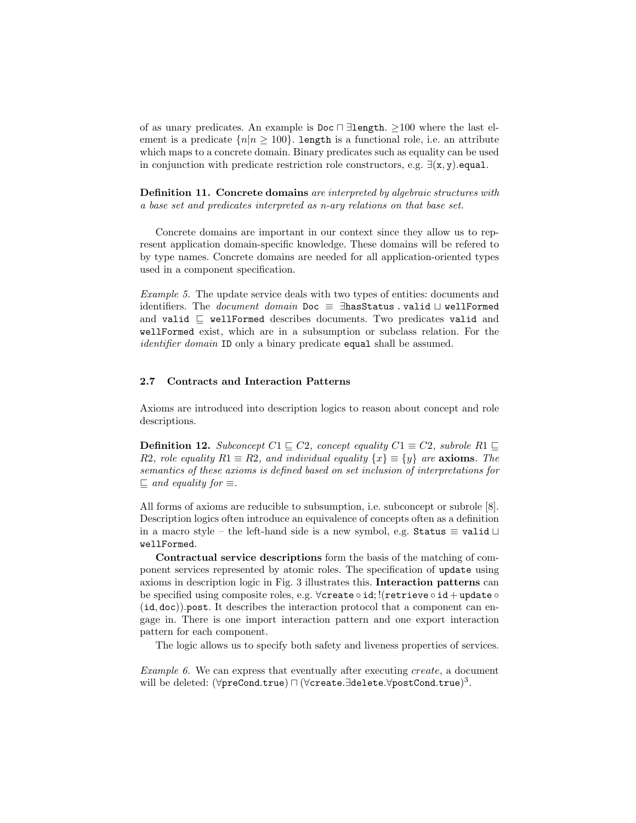of as unary predicates. An example is  $\text{Doc} \sqcap \exists \text{length.} \geq 100$  where the last element is a predicate  $\{n|n \geq 100\}$ . length is a functional role, i.e. an attribute which maps to a concrete domain. Binary predicates such as equality can be used in conjunction with predicate restriction role constructors, e.g.  $\exists (x, y)$ .equal.

Definition 11. Concrete domains are interpreted by algebraic structures with a base set and predicates interpreted as n-ary relations on that base set.

Concrete domains are important in our context since they allow us to represent application domain-specific knowledge. These domains will be refered to by type names. Concrete domains are needed for all application-oriented types used in a component specification.

Example 5. The update service deals with two types of entities: documents and identifiers. The document domain Doc  $\equiv$   $\exists$ hasStatus . valid  $\sqcup$  wellFormed and valid  $\subseteq$  wellFormed describes documents. Two predicates valid and wellFormed exist, which are in a subsumption or subclass relation. For the identifier domain ID only a binary predicate equal shall be assumed.

## 2.7 Contracts and Interaction Patterns

Axioms are introduced into description logics to reason about concept and role descriptions.

**Definition 12.** Subconcept C1  $\subseteq$  C2, concept equality C1  $\equiv$  C2, subrole R1  $\subseteq$ R2, role equality  $R1 \equiv R2$ , and individual equality  $\{x\} \equiv \{y\}$  are **axioms**. The semantics of these axioms is defined based on set inclusion of interpretations for  $\subseteq$  and equality for  $\equiv$ .

All forms of axioms are reducible to subsumption, i.e. subconcept or subrole [8]. Description logics often introduce an equivalence of concepts often as a definition in a macro style – the left-hand side is a new symbol, e.g. Status  $\equiv$  valid  $□$ wellFormed.

Contractual service descriptions form the basis of the matching of component services represented by atomic roles. The specification of update using axioms in description logic in Fig. 3 illustrates this. Interaction patterns can be specified using composite roles, e.g. ∀create ◦ id; !(retrieve ◦ id + update ◦ (id, doc)).post. It describes the interaction protocol that a component can engage in. There is one import interaction pattern and one export interaction pattern for each component.

The logic allows us to specify both safety and liveness properties of services.

Example 6. We can express that eventually after executing create, a document will be deleted:  $(\forall \texttt{preCond}.\texttt{true}) \sqcap (\forall \texttt{create}.\exists \texttt{delete}.\forall \texttt{postCond}.\texttt{true})^3.$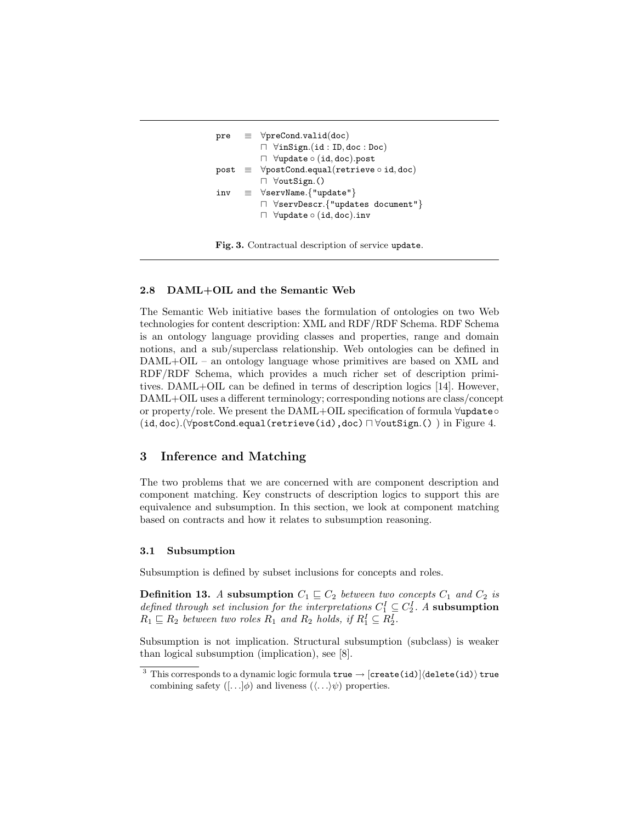```
pre \equiv \forall preCond.valid(doc)u ∀inSign.(id : ID, doc : Doc)
          u ∀update ◦ (id, doc).post
post \equiv \forall postCond.equals(retrieve \circ id,doc)u ∀outSign.()
inv ≡ ∀servName.{"update"}
          u ∀servDescr.{"updates document"}
          u ∀update ◦ (id, doc).inv
```
Fig. 3. Contractual description of service update.

## 2.8 DAML+OIL and the Semantic Web

The Semantic Web initiative bases the formulation of ontologies on two Web technologies for content description: XML and RDF/RDF Schema. RDF Schema is an ontology language providing classes and properties, range and domain notions, and a sub/superclass relationship. Web ontologies can be defined in DAML+OIL – an ontology language whose primitives are based on XML and RDF/RDF Schema, which provides a much richer set of description primitives. DAML+OIL can be defined in terms of description logics [14]. However, DAML+OIL uses a different terminology; corresponding notions are class/concept or property/role. We present the DAML+OIL specification of formula ∀update◦ (id, doc).( $\forall$ postCond.equal(retrieve(id),doc)  $\Box$  $\forall$ outSign.() ) in Figure 4.

# 3 Inference and Matching

The two problems that we are concerned with are component description and component matching. Key constructs of description logics to support this are equivalence and subsumption. In this section, we look at component matching based on contracts and how it relates to subsumption reasoning.

## 3.1 Subsumption

Subsumption is defined by subset inclusions for concepts and roles.

**Definition 13.** A subsumption  $C_1 \subseteq C_2$  between two concepts  $C_1$  and  $C_2$  is defined through set inclusion for the interpretations  $C_1^I \subseteq C_2^I$ . A subsumption  $R_1 \sqsubseteq R_2$  between two roles  $R_1$  and  $R_2$  holds, if  $R_1^I \subseteq R_2^I$ .

Subsumption is not implication. Structural subsumption (subclass) is weaker than logical subsumption (implication), see [8].

<sup>&</sup>lt;sup>3</sup> This corresponds to a dynamic logic formula  $true \rightarrow [create(id)]\langle delete(id)\rangle$  true combining safety  $([ \ldots ] \phi)$  and liveness  $( \langle \ldots \rangle \psi)$  properties.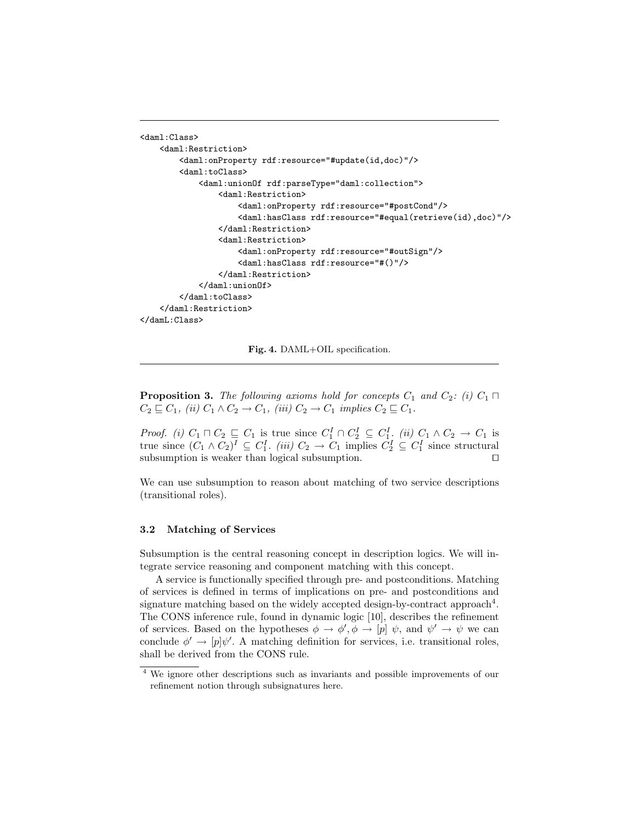```
<daml:Class>
    <daml:Restriction>
        <daml:onProperty rdf:resource="#update(id,doc)"/>
        <daml:toClass>
            <daml:unionOf rdf:parseType="daml:collection">
                <daml:Restriction>
                    <daml:onProperty rdf:resource="#postCond"/>
                    <daml:hasClass rdf:resource="#equal(retrieve(id),doc)"/>
                </daml:Restriction>
                <daml:Restriction>
                    <daml:onProperty rdf:resource="#outSign"/>
                    <daml:hasClass rdf:resource="#()"/>
                </daml:Restriction>
            </daml:unionOf>
        </daml:toClass>
    </daml:Restriction>
</damL:Class>
```
Fig. 4. DAML+OIL specification.

**Proposition 3.** The following axioms hold for concepts  $C_1$  and  $C_2$ : (i)  $C_1 \sqcap$  $C_2 \sqsubseteq C_1$ , (ii)  $C_1 \wedge C_2 \rightarrow C_1$ , (iii)  $C_2 \rightarrow C_1$  implies  $C_2 \sqsubseteq C_1$ .

*Proof.* (i)  $C_1 \sqcap C_2 \sqsubseteq C_1$  is true since  $C_1^I \cap C_2^I \subseteq C_1^I$ . (ii)  $C_1 \wedge C_2 \rightarrow C_1$  is true since  $(C_1 \wedge C_2)^I \subseteq C_1^I$ . (iii)  $C_2 \rightarrow C_1$  implies  $C_2^I \subseteq C_1^I$  since structural subsumption is weaker than logical subsumption.  $\Box$ 

We can use subsumption to reason about matching of two service descriptions (transitional roles).

## 3.2 Matching of Services

Subsumption is the central reasoning concept in description logics. We will integrate service reasoning and component matching with this concept.

A service is functionally specified through pre- and postconditions. Matching of services is defined in terms of implications on pre- and postconditions and signature matching based on the widely accepted design-by-contract approach<sup>4</sup>. The CONS inference rule, found in dynamic logic [10], describes the refinement of services. Based on the hypotheses  $\phi \to \phi', \phi \to [p] \psi$ , and  $\psi' \to \psi$  we can conclude  $\phi' \to [p]\psi'$ . A matching definition for services, i.e. transitional roles, shall be derived from the CONS rule.

<sup>4</sup> We ignore other descriptions such as invariants and possible improvements of our refinement notion through subsignatures here.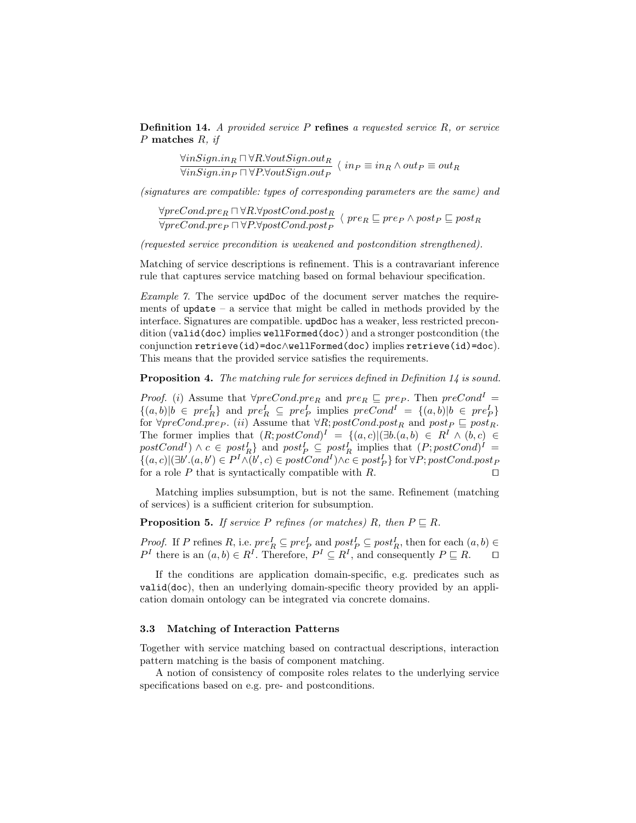Definition 14. A provided service P refines a requested service R, or service P matches R, if

$$
\frac{\forall inSign.in_R \sqcap \forall R. \forall outSign.out_R}{\forall inSign.in_P \sqcap \forall P. \forall outSign.out_P} \ \langle \ in_P \equiv in_R \land out_P \equiv out_R
$$

(signatures are compatible: types of corresponding parameters are the same) and

$$
\frac{\forall preCond. pre_R \sqcap \forall R. \forall postCond. post_R}{\forall preCond. pre_P \sqcap \forall P. \forall postCond. post_P} \langle pre_R \sqsubseteq pre_P \land post_P \sqsubseteq post_R
$$

(requested service precondition is weakened and postcondition strengthened).

Matching of service descriptions is refinement. This is a contravariant inference rule that captures service matching based on formal behaviour specification.

Example 7. The service updDoc of the document server matches the requirements of update – a service that might be called in methods provided by the interface. Signatures are compatible. updDoc has a weaker, less restricted precondition (valid(doc) implies wellFormed(doc)) and a stronger postcondition (the conjunction retrieve(id)=doc∧wellFormed(doc) implies retrieve(id)=doc). This means that the provided service satisfies the requirements.

#### Proposition 4. The matching rule for services defined in Definition 14 is sound.

*Proof.* (i) Assume that  $\forall preCond.pre_R$  and  $pre_R \sqsubseteq pre_P$ . Then  $preCond^I =$  $\{(a, b)|b \in pre_R^I\}$  and  $pre_R^I \subseteq pre_P^I$  implies  $preCond^I = \{(a, b)|b \in pre_P^I\}$ for  $\forall preCond.pre_P.$  (ii) Assume that  $\forall R; postCond.post_R$  and  $post_P \sqsubseteq post_R$ . The former implies that  $(R; postCond)^{I} = \{(a, c) | (\exists b.(a, b) \in R^{I} \wedge (b, c) \in R^{I}) \}$  $postCond<sup>I</sup>$ )  $\land$   $c \in post_R^I$  and  $post_P^I \subseteq post_R^I$  implies that  $(P;postCond)<sup>I</sup>$  = { $(a, c) | (\exists b'. (a, b') \in P^I \land (b', c) \in postCond^I) \land c \in post_P^I}$ } for ∀P; postCond.post<sub>P</sub> for a role  $P$  that is syntactically compatible with  $R$ .

Matching implies subsumption, but is not the same. Refinement (matching of services) is a sufficient criterion for subsumption.

**Proposition 5.** If service P refines (or matches) R, then  $P \sqsubseteq R$ .

*Proof.* If P refines R, i.e.  $pre_R^I \subseteq pre_P^I$  and  $post_P^I \subseteq post_R^I$ , then for each  $(a, b) \in$  $P^I$  there is an  $(a, b) \in R^I$ . Therefore,  $P^I \subseteq R^I$ , and consequently  $P \sqsubseteq R$ .  $\Box$ 

If the conditions are application domain-specific, e.g. predicates such as valid(doc), then an underlying domain-specific theory provided by an application domain ontology can be integrated via concrete domains.

#### 3.3 Matching of Interaction Patterns

Together with service matching based on contractual descriptions, interaction pattern matching is the basis of component matching.

A notion of consistency of composite roles relates to the underlying service specifications based on e.g. pre- and postconditions.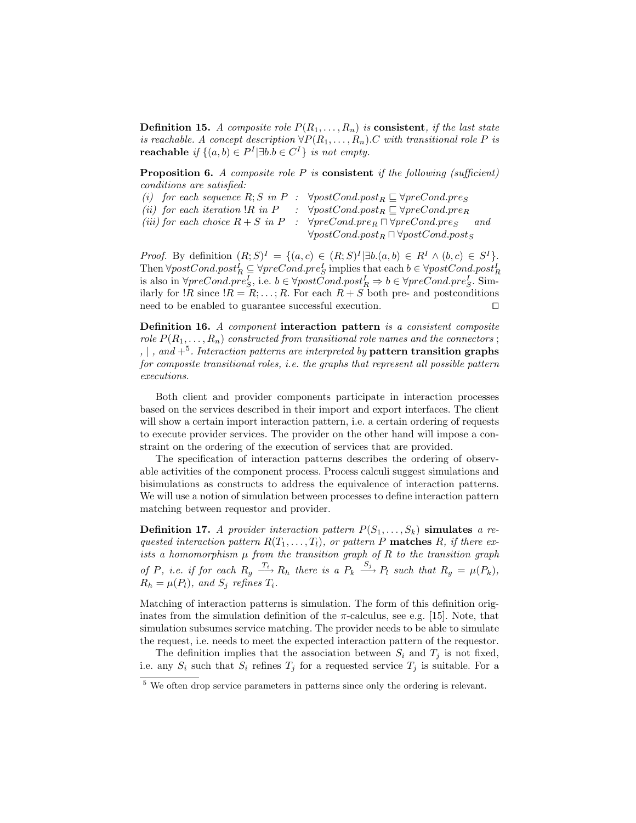**Definition 15.** A composite role  $P(R_1, \ldots, R_n)$  is **consistent**, if the last state is reachable. A concept description  $\forall P(R_1,\ldots,R_n)$ . C with transitional role P is reachable if  $\{(a, b) \in P^I | \exists b.b \in C^I\}$  is not empty.

**Proposition 6.** A composite role  $P$  is **consistent** if the following (sufficient) conditions are satisfied:

(i) for each sequence  $R; S \in P : \forall postCond.post_R \sqsubseteq \forall preCond.pres$ (ii) for each iteration  $!R$  in  $P$  :  $\forall postCond.post_R \sqsubseteq \forall preCond.pre_R$ (iii) for each choice  $R + S$  in  $P$  :  $\forall preCond.pre & \forall preCond.pre \; and \;$  $\forall postCond.post_R \sqcap \forall postCond.post_S$ 

*Proof.* By definition  $(R;S)^{I} = \{(a, c) \in (R;S)^{I} | \exists b.(a, b) \in R^{I} \wedge (b, c) \in S^{I} \}.$ Then  $\forall postCond.post_R^I \subseteq \forall preCond.pre_S^I$  implies that each  $b \in \forall postCond.post_R^I$ <br>is also in  $\forall preCond.pre_S^I$ , i.e.  $b \in \forall postCond.post_R^I \Rightarrow b \in \forall preCond.pre_S^I$ . Similarly for  $!R$  since  $!R = R; \ldots; R$ . For each  $R + S$  both pre- and postconditions need to be enabled to guarantee successful execution.  $\Box$ 

Definition 16. A component interaction pattern is a consistent composite role  $P(R_1, \ldots, R_n)$  constructed from transitional role names and the connectors; ,  $\vert$  , and  $+^5$ . Interaction patterns are interpreted by **pattern transition graphs** for composite transitional roles, i.e. the graphs that represent all possible pattern executions.

Both client and provider components participate in interaction processes based on the services described in their import and export interfaces. The client will show a certain import interaction pattern, i.e. a certain ordering of requests to execute provider services. The provider on the other hand will impose a constraint on the ordering of the execution of services that are provided.

The specification of interaction patterns describes the ordering of observable activities of the component process. Process calculi suggest simulations and bisimulations as constructs to address the equivalence of interaction patterns. We will use a notion of simulation between processes to define interaction pattern matching between requestor and provider.

**Definition 17.** A provider interaction pattern  $P(S_1, \ldots, S_k)$  simulates a requested interaction pattern  $R(T_1, \ldots, T_l)$ , or pattern P **matches** R, if there exists a homomorphism  $\mu$  from the transition graph of R to the transition graph of P, i.e. if for each  $R_g \xrightarrow{T_i} R_h$  there is a  $P_k \xrightarrow{S_j} P_l$  such that  $R_g = \mu(P_k)$ ,  $R_h = \mu(P_l)$ , and  $S_j$  refines  $T_i$ .

Matching of interaction patterns is simulation. The form of this definition originates from the simulation definition of the  $\pi$ -calculus, see e.g. [15]. Note, that simulation subsumes service matching. The provider needs to be able to simulate the request, i.e. needs to meet the expected interaction pattern of the requestor.

The definition implies that the association between  $S_i$  and  $T_j$  is not fixed, i.e. any  $S_i$  such that  $S_i$  refines  $T_j$  for a requested service  $T_j$  is suitable. For a

<sup>&</sup>lt;sup>5</sup> We often drop service parameters in patterns since only the ordering is relevant.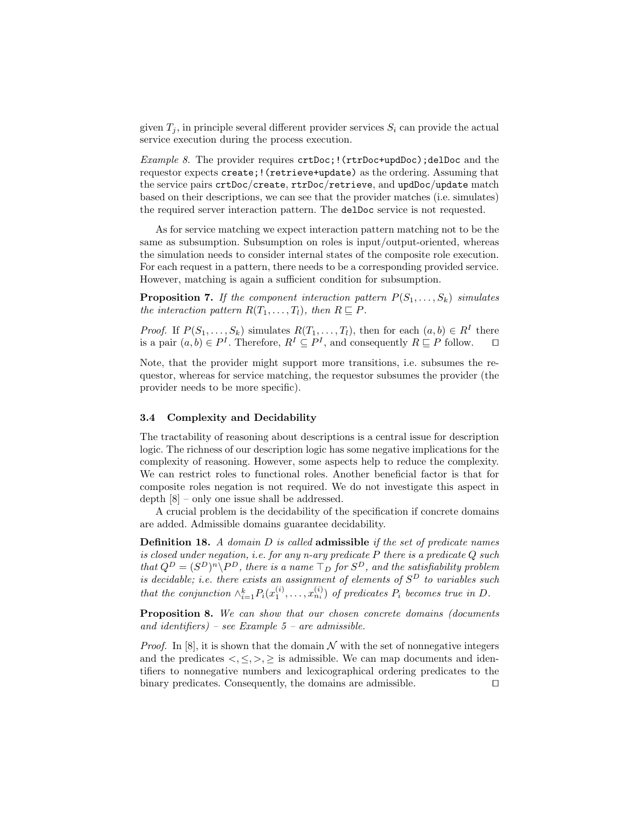given  $T_i$ , in principle several different provider services  $S_i$  can provide the actual service execution during the process execution.

Example 8. The provider requires crtDoc;!(rtrDoc+updDoc);delDoc and the requestor expects create;!(retrieve+update) as the ordering. Assuming that the service pairs crtDoc/create, rtrDoc/retrieve, and updDoc/update match based on their descriptions, we can see that the provider matches (i.e. simulates) the required server interaction pattern. The delDoc service is not requested.

As for service matching we expect interaction pattern matching not to be the same as subsumption. Subsumption on roles is input/output-oriented, whereas the simulation needs to consider internal states of the composite role execution. For each request in a pattern, there needs to be a corresponding provided service. However, matching is again a sufficient condition for subsumption.

**Proposition 7.** If the component interaction pattern  $P(S_1, \ldots, S_k)$  simulates the interaction pattern  $R(T_1, \ldots, T_l)$ , then  $R \sqsubseteq P$ .

*Proof.* If  $P(S_1, \ldots, S_k)$  simulates  $R(T_1, \ldots, T_l)$ , then for each  $(a, b) \in R^I$  there is a pair  $(a, b) \in P^I$ . Therefore,  $R^I \subseteq P^I$ , and consequently  $R \sqsubseteq P$  follow.  $\square$ 

Note, that the provider might support more transitions, i.e. subsumes the requestor, whereas for service matching, the requestor subsumes the provider (the provider needs to be more specific).

#### 3.4 Complexity and Decidability

The tractability of reasoning about descriptions is a central issue for description logic. The richness of our description logic has some negative implications for the complexity of reasoning. However, some aspects help to reduce the complexity. We can restrict roles to functional roles. Another beneficial factor is that for composite roles negation is not required. We do not investigate this aspect in depth [8] – only one issue shall be addressed.

A crucial problem is the decidability of the specification if concrete domains are added. Admissible domains guarantee decidability.

**Definition 18.** A domain  $D$  is called **admissible** if the set of predicate names is closed under negation, i.e. for any n-ary predicate  $P$  there is a predicate  $Q$  such that  $Q^D = (S^D)^n \backslash P^D$ , there is a name  $\top_D$  for  $S^D$ , and the satisfiability problem is decidable; i.e. there exists an assignment of elements of  $S^D$  to variables such that the conjunction  $\wedge_{i=1}^k P_i(x_1^{(i)},...,x_{n_i}^{(i)})$  of predicates  $P_i$  becomes true in D.

Proposition 8. We can show that our chosen concrete domains (documents and identifiers) – see Example  $5$  – are admissible.

*Proof.* In [8], it is shown that the domain  $N$  with the set of nonnegative integers and the predicates  $\langle \xi, \xi \rangle$ ,  $\geq$  is admissible. We can map documents and identifiers to nonnegative numbers and lexicographical ordering predicates to the binary predicates. Consequently, the domains are admissible.  $\Box$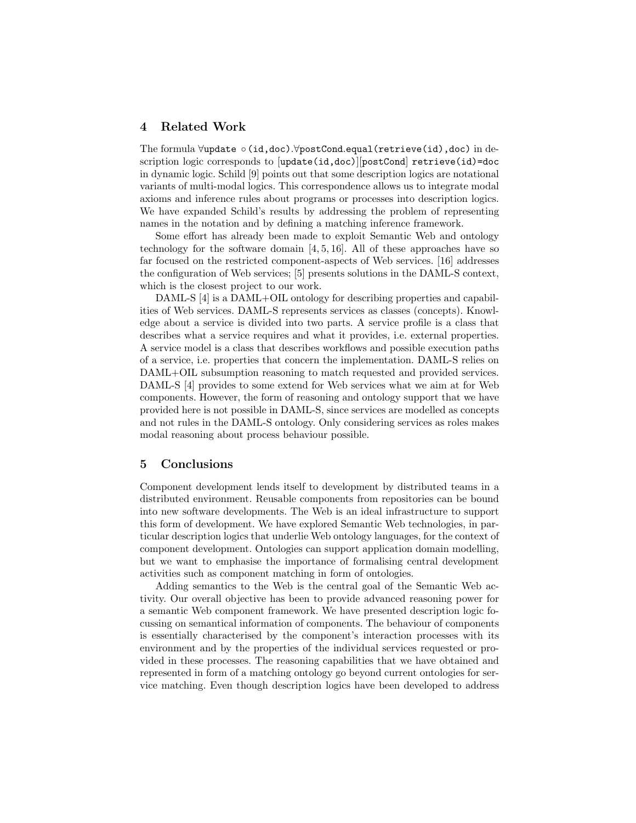## 4 Related Work

The formula ∀update ◦(id,doc).∀postCond.equal(retrieve(id),doc) in description logic corresponds to  $[\text{update}(\text{id}, \text{doc})][\text{postCond}]$  retrieve(id)=doc in dynamic logic. Schild [9] points out that some description logics are notational variants of multi-modal logics. This correspondence allows us to integrate modal axioms and inference rules about programs or processes into description logics. We have expanded Schild's results by addressing the problem of representing names in the notation and by defining a matching inference framework.

Some effort has already been made to exploit Semantic Web and ontology technology for the software domain [4, 5, 16]. All of these approaches have so far focused on the restricted component-aspects of Web services. [16] addresses the configuration of Web services; [5] presents solutions in the DAML-S context, which is the closest project to our work.

DAML-S [4] is a DAML+OIL ontology for describing properties and capabilities of Web services. DAML-S represents services as classes (concepts). Knowledge about a service is divided into two parts. A service profile is a class that describes what a service requires and what it provides, i.e. external properties. A service model is a class that describes workflows and possible execution paths of a service, i.e. properties that concern the implementation. DAML-S relies on DAML+OIL subsumption reasoning to match requested and provided services. DAML-S [4] provides to some extend for Web services what we aim at for Web components. However, the form of reasoning and ontology support that we have provided here is not possible in DAML-S, since services are modelled as concepts and not rules in the DAML-S ontology. Only considering services as roles makes modal reasoning about process behaviour possible.

## 5 Conclusions

Component development lends itself to development by distributed teams in a distributed environment. Reusable components from repositories can be bound into new software developments. The Web is an ideal infrastructure to support this form of development. We have explored Semantic Web technologies, in particular description logics that underlie Web ontology languages, for the context of component development. Ontologies can support application domain modelling, but we want to emphasise the importance of formalising central development activities such as component matching in form of ontologies.

Adding semantics to the Web is the central goal of the Semantic Web activity. Our overall objective has been to provide advanced reasoning power for a semantic Web component framework. We have presented description logic focussing on semantical information of components. The behaviour of components is essentially characterised by the component's interaction processes with its environment and by the properties of the individual services requested or provided in these processes. The reasoning capabilities that we have obtained and represented in form of a matching ontology go beyond current ontologies for service matching. Even though description logics have been developed to address